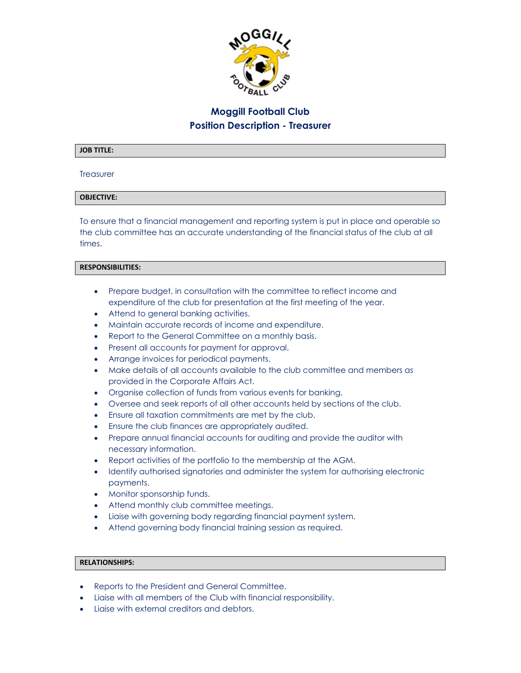

# **Moggill Football Club Position Description - Treasurer**

#### **JOB TITLE:**

#### **Treasurer**

## **OBJECTIVE:**

To ensure that a financial management and reporting system is put in place and operable so the club committee has an accurate understanding of the financial status of the club at all times.

#### **RESPONSIBILITIES:**

- Prepare budget, in consultation with the committee to reflect income and expenditure of the club for presentation at the first meeting of the year.
- Attend to general banking activities.
- Maintain accurate records of income and expenditure.
- Report to the General Committee on a monthly basis.
- Present all accounts for payment for approval.
- Arrange invoices for periodical payments.
- Make details of all accounts available to the club committee and members as provided in the Corporate Affairs Act.
- Organise collection of funds from various events for banking.
- Oversee and seek reports of all other accounts held by sections of the club.
- Ensure all taxation commitments are met by the club.
- Ensure the club finances are appropriately audited.
- Prepare annual financial accounts for auditing and provide the auditor with necessary information.
- Report activities of the portfolio to the membership at the AGM.
- Identify authorised signatories and administer the system for authorising electronic payments.
- Monitor sponsorship funds.
- Attend monthly club committee meetings.
- Liaise with governing body regarding financial payment system.
- Attend governing body financial training session as required.

## **RELATIONSHIPS:**

- Reports to the President and General Committee.
- Liaise with all members of the Club with financial responsibility.
- Liaise with external creditors and debtors.